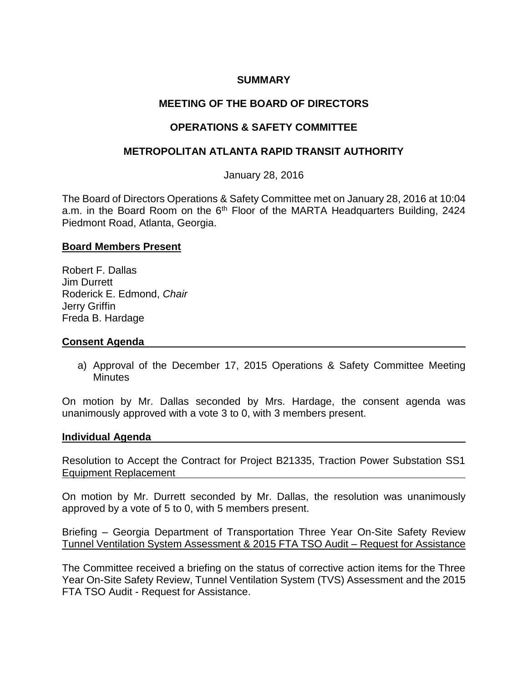## **SUMMARY**

# **MEETING OF THE BOARD OF DIRECTORS**

## **OPERATIONS & SAFETY COMMITTEE**

## **METROPOLITAN ATLANTA RAPID TRANSIT AUTHORITY**

January 28, 2016

The Board of Directors Operations & Safety Committee met on January 28, 2016 at 10:04 a.m. in the Board Room on the 6<sup>th</sup> Floor of the MARTA Headquarters Building, 2424 Piedmont Road, Atlanta, Georgia.

#### **Board Members Present**

Robert F. Dallas Jim Durrett Roderick E. Edmond, *Chair* Jerry Griffin Freda B. Hardage

#### **Consent Agenda**

a) Approval of the December 17, 2015 Operations & Safety Committee Meeting **Minutes** 

On motion by Mr. Dallas seconded by Mrs. Hardage, the consent agenda was unanimously approved with a vote 3 to 0, with 3 members present.

#### **Individual Agenda**

Resolution to Accept the Contract for Project B21335, Traction Power Substation SS1 Equipment Replacement

On motion by Mr. Durrett seconded by Mr. Dallas, the resolution was unanimously approved by a vote of 5 to 0, with 5 members present.

Briefing – Georgia Department of Transportation Three Year On-Site Safety Review Tunnel Ventilation System Assessment & 2015 FTA TSO Audit – Request for Assistance

The Committee received a briefing on the status of corrective action items for the Three Year On-Site Safety Review, Tunnel Ventilation System (TVS) Assessment and the 2015 FTA TSO Audit - Request for Assistance.